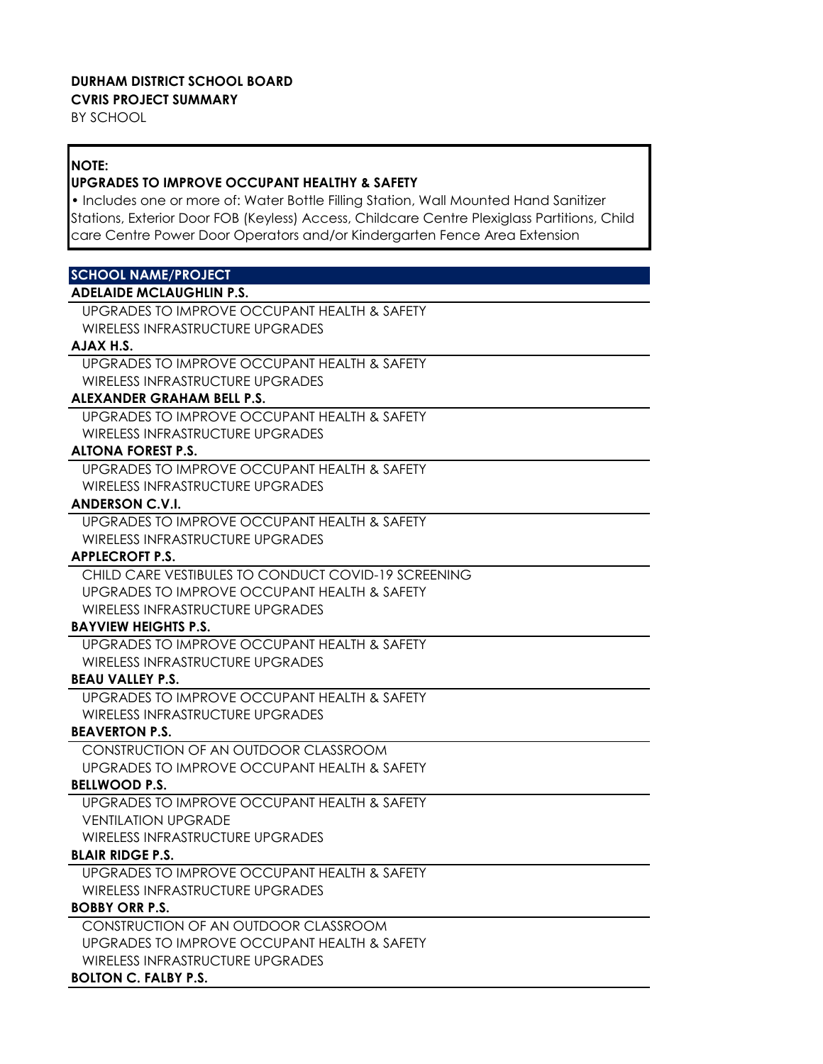#### **DURHAM DISTRICT SCHOOL BOARD CVRIS PROJECT SUMMARY**

BY SCHOOL

# **NOTE:**

# **UPGRADES TO IMPROVE OCCUPANT HEALTHY & SAFETY**

• Includes one or more of: Water Bottle Filling Station, Wall Mounted Hand Sanitizer Stations, Exterior Door FOB (Keyless) Access, Childcare Centre Plexiglass Partitions, Child care Centre Power Door Operators and/or Kindergarten Fence Area Extension

# **SCHOOL NAME/PROJECT**

# **ADELAIDE MCLAUGHLIN P.S.**

UPGRADES TO IMPROVE OCCUPANT HEALTH & SAFETY WIRELESS INFRASTRUCTURE UPGRADES

## **AJAX H.S.**

UPGRADES TO IMPROVE OCCUPANT HEALTH & SAFETY WIRELESS INFRASTRUCTURE UPGRADES

## **ALEXANDER GRAHAM BELL P.S.**

UPGRADES TO IMPROVE OCCUPANT HEALTH & SAFETY WIRELESS INFRASTRUCTURE UPGRADES

# **ALTONA FOREST P.S.**

UPGRADES TO IMPROVE OCCUPANT HEALTH & SAFETY WIRELESS INFRASTRUCTURE UPGRADES

# **ANDERSON C.V.I.**

UPGRADES TO IMPROVE OCCUPANT HEALTH & SAFETY WIRELESS INFRASTRUCTURE UPGRADES

# **APPLECROFT P.S.**

CHILD CARE VESTIBULES TO CONDUCT COVID-19 SCREENING UPGRADES TO IMPROVE OCCUPANT HEALTH & SAFETY WIRELESS INFRASTRUCTURE UPGRADES

# **BAYVIEW HEIGHTS P.S.**

UPGRADES TO IMPROVE OCCUPANT HEALTH & SAFETY WIRELESS INFRASTRUCTURE UPGRADES

# **BEAU VALLEY P.S.**

UPGRADES TO IMPROVE OCCUPANT HEALTH & SAFETY WIRELESS INFRASTRUCTURE UPGRADES

# **BEAVERTON P.S.**

CONSTRUCTION OF AN OUTDOOR CLASSROOM UPGRADES TO IMPROVE OCCUPANT HEALTH & SAFETY

# **BELLWOOD P.S.**

UPGRADES TO IMPROVE OCCUPANT HEALTH & SAFETY VENTILATION UPGRADE WIRELESS INFRASTRUCTURE UPGRADES

# **BLAIR RIDGE P.S.**

UPGRADES TO IMPROVE OCCUPANT HEALTH & SAFETY WIRELESS INFRASTRUCTURE UPGRADES

# **BOBBY ORR P.S.**

CONSTRUCTION OF AN OUTDOOR CLASSROOM UPGRADES TO IMPROVE OCCUPANT HEALTH & SAFETY WIRELESS INFRASTRUCTURE UPGRADES

# **BOLTON C. FALBY P.S.**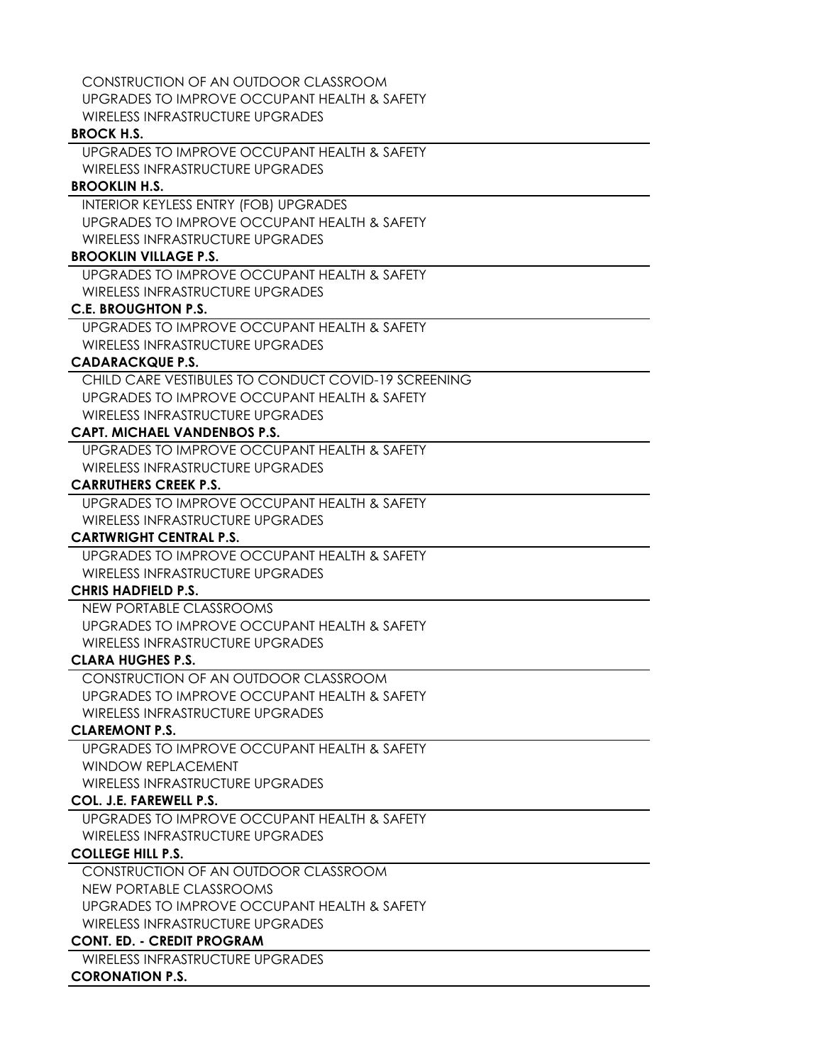CONSTRUCTION OF AN OUTDOOR CLASSROOM UPGRADES TO IMPROVE OCCUPANT HEALTH & SAFETY WIRELESS INFRASTRUCTURE UPGRADES

### **BROCK H.S.**

UPGRADES TO IMPROVE OCCUPANT HEALTH & SAFETY WIRELESS INFRASTRUCTURE UPGRADES

# **BROOKLIN H.S.**

INTERIOR KEYLESS ENTRY (FOB) UPGRADES UPGRADES TO IMPROVE OCCUPANT HEALTH & SAFETY WIRELESS INFRASTRUCTURE UPGRADES

## **BROOKLIN VILLAGE P.S.**

UPGRADES TO IMPROVE OCCUPANT HEALTH & SAFETY WIRELESS INFRASTRUCTURE UPGRADES

# **C.E. BROUGHTON P.S.**

UPGRADES TO IMPROVE OCCUPANT HEALTH & SAFETY WIRELESS INFRASTRUCTURE UPGRADES

# **CADARACKQUE P.S.**

CHILD CARE VESTIBULES TO CONDUCT COVID-19 SCREENING UPGRADES TO IMPROVE OCCUPANT HEALTH & SAFETY WIRELESS INFRASTRUCTURE UPGRADES

# **CAPT. MICHAEL VANDENBOS P.S.**

UPGRADES TO IMPROVE OCCUPANT HEALTH & SAFETY WIRELESS INFRASTRUCTURE UPGRADES

## **CARRUTHERS CREEK P.S.**

UPGRADES TO IMPROVE OCCUPANT HEALTH & SAFETY WIRELESS INFRASTRUCTURE UPGRADES

# **CARTWRIGHT CENTRAL P.S.**

UPGRADES TO IMPROVE OCCUPANT HEALTH & SAFETY WIRELESS INFRASTRUCTURE UPGRADES

# **CHRIS HADFIELD P.S.**

NEW PORTABLE CLASSROOMS UPGRADES TO IMPROVE OCCUPANT HEALTH & SAFETY WIRELESS INFRASTRUCTURE UPGRADES

# **CLARA HUGHES P.S.**

CONSTRUCTION OF AN OUTDOOR CLASSROOM UPGRADES TO IMPROVE OCCUPANT HEALTH & SAFETY WIRELESS INFRASTRUCTURE UPGRADES

# **CLAREMONT P.S.**

UPGRADES TO IMPROVE OCCUPANT HEALTH & SAFETY WINDOW REPLACEMENT WIRELESS INFRASTRUCTURE UPGRADES

# **COL. J.E. FAREWELL P.S.**

UPGRADES TO IMPROVE OCCUPANT HEALTH & SAFETY WIRELESS INFRASTRUCTURE UPGRADES

# **COLLEGE HILL P.S.**

CONSTRUCTION OF AN OUTDOOR CLASSROOM NEW PORTABLE CLASSROOMS UPGRADES TO IMPROVE OCCUPANT HEALTH & SAFETY WIRELESS INFRASTRUCTURE UPGRADES

# **CONT. ED. - CREDIT PROGRAM**

WIRELESS INFRASTRUCTURE UPGRADES **CORONATION P.S.**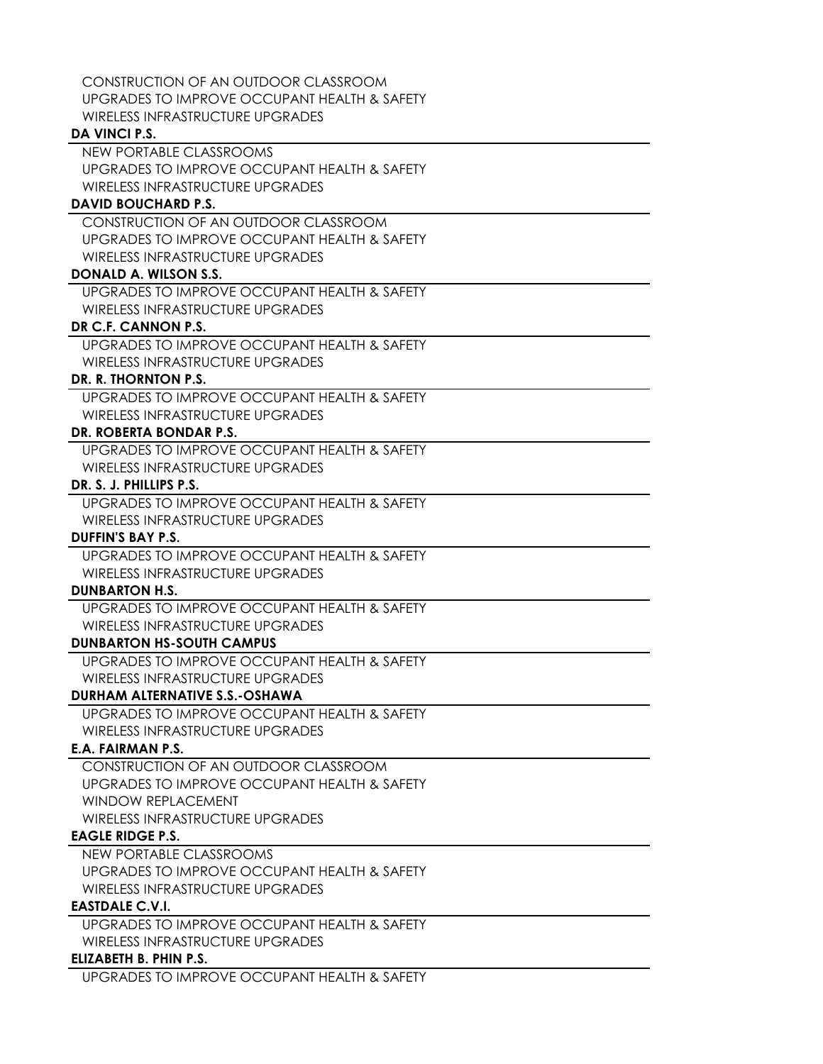CONSTRUCTION OF AN OUTDOOR CLASSROOM UPGRADES TO IMPROVE OCCUPANT HEALTH & SAFETY WIRELESS INFRASTRUCTURE UPGRADES

### **DA VINCI P.S.**

NEW PORTABLE CLASSROOMS UPGRADES TO IMPROVE OCCUPANT HEALTH & SAFETY WIRELESS INFRASTRUCTURE UPGRADES

## **DAVID BOUCHARD P.S.**

CONSTRUCTION OF AN OUTDOOR CLASSROOM UPGRADES TO IMPROVE OCCUPANT HEALTH & SAFETY WIRELESS INFRASTRUCTURE UPGRADES

# **DONALD A. WILSON S.S.**

UPGRADES TO IMPROVE OCCUPANT HEALTH & SAFETY WIRELESS INFRASTRUCTURE UPGRADES

# **DR C.F. CANNON P.S.**

UPGRADES TO IMPROVE OCCUPANT HEALTH & SAFETY WIRELESS INFRASTRUCTURE UPGRADES

## **DR. R. THORNTON P.S.**

UPGRADES TO IMPROVE OCCUPANT HEALTH & SAFETY WIRELESS INFRASTRUCTURE UPGRADES

## **DR. ROBERTA BONDAR P.S.**

UPGRADES TO IMPROVE OCCUPANT HEALTH & SAFETY WIRELESS INFRASTRUCTURE UPGRADES

### **DR. S. J. PHILLIPS P.S.**

UPGRADES TO IMPROVE OCCUPANT HEALTH & SAFETY WIRELESS INFRASTRUCTURE UPGRADES

# **DUFFIN'S BAY P.S.**

UPGRADES TO IMPROVE OCCUPANT HEALTH & SAFETY WIRELESS INFRASTRUCTURE UPGRADES

# **DUNBARTON H.S.**

UPGRADES TO IMPROVE OCCUPANT HEALTH & SAFETY WIRELESS INFRASTRUCTURE UPGRADES

# **DUNBARTON HS-SOUTH CAMPUS**

UPGRADES TO IMPROVE OCCUPANT HEALTH & SAFETY WIRELESS INFRASTRUCTURE UPGRADES

# **DURHAM ALTERNATIVE S.S.-OSHAWA**

UPGRADES TO IMPROVE OCCUPANT HEALTH & SAFETY WIRELESS INFRASTRUCTURE UPGRADES

# **E.A. FAIRMAN P.S.**

CONSTRUCTION OF AN OUTDOOR CLASSROOM UPGRADES TO IMPROVE OCCUPANT HEALTH & SAFETY WINDOW REPLACEMENT WIRELESS INFRASTRUCTURE UPGRADES

# **EAGLE RIDGE P.S.**

NEW PORTABLE CLASSROOMS UPGRADES TO IMPROVE OCCUPANT HEALTH & SAFETY WIRELESS INFRASTRUCTURE UPGRADES

# **EASTDALE C.V.I.**

UPGRADES TO IMPROVE OCCUPANT HEALTH & SAFETY WIRELESS INFRASTRUCTURE UPGRADES

## **ELIZABETH B. PHIN P.S.**

UPGRADES TO IMPROVE OCCUPANT HEALTH & SAFETY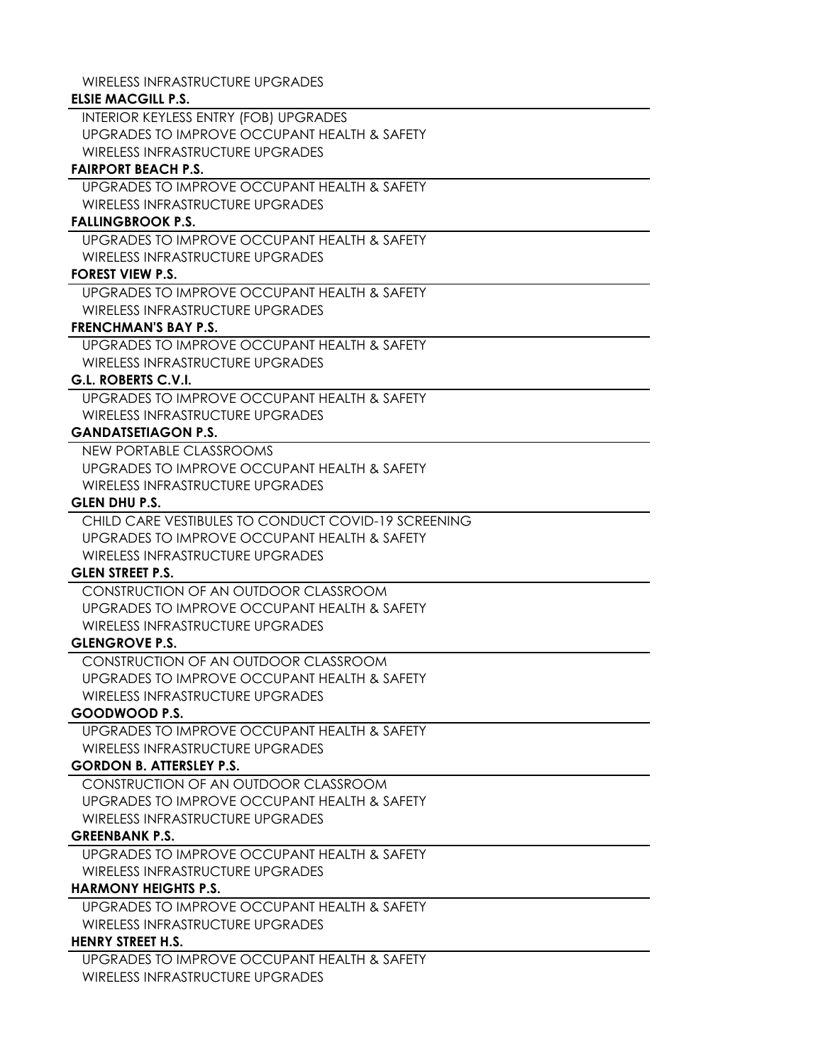WIRELESS INFRASTRUCTURE UPGRADES

# **ELSIE MACGILL P.S.**

INTERIOR KEYLESS ENTRY (FOB) UPGRADES UPGRADES TO IMPROVE OCCUPANT HEALTH & SAFETY WIRELESS INFRASTRUCTURE UPGRADES

# **FAIRPORT BEACH P.S.**

UPGRADES TO IMPROVE OCCUPANT HEALTH & SAFETY WIRELESS INFRASTRUCTURE UPGRADES

## **FALLINGBROOK P.S.**

UPGRADES TO IMPROVE OCCUPANT HEALTH & SAFETY WIRELESS INFRASTRUCTURE UPGRADES

# **FOREST VIEW P.S.**

UPGRADES TO IMPROVE OCCUPANT HEALTH & SAFETY WIRELESS INFRASTRUCTURE UPGRADES

## **FRENCHMAN'S BAY P.S.**

UPGRADES TO IMPROVE OCCUPANT HEALTH & SAFETY WIRELESS INFRASTRUCTURE UPGRADES

# **G.L. ROBERTS C.V.I.**

UPGRADES TO IMPROVE OCCUPANT HEALTH & SAFETY WIRELESS INFRASTRUCTURE UPGRADES

# **GANDATSETIAGON P.S.**

NEW PORTABLE CLASSROOMS UPGRADES TO IMPROVE OCCUPANT HEALTH & SAFETY WIRELESS INFRASTRUCTURE UPGRADES

# **GLEN DHU P.S.**

CHILD CARE VESTIBULES TO CONDUCT COVID-19 SCREENING UPGRADES TO IMPROVE OCCUPANT HEALTH & SAFETY WIRELESS INFRASTRUCTURE UPGRADES

# **GLEN STREET P.S.**

CONSTRUCTION OF AN OUTDOOR CLASSROOM UPGRADES TO IMPROVE OCCUPANT HEALTH & SAFETY WIRELESS INFRASTRUCTURE UPGRADES

# **GLENGROVE P.S.**

CONSTRUCTION OF AN OUTDOOR CLASSROOM UPGRADES TO IMPROVE OCCUPANT HEALTH & SAFETY WIRELESS INFRASTRUCTURE UPGRADES

# **GOODWOOD P.S.**

UPGRADES TO IMPROVE OCCUPANT HEALTH & SAFETY WIRELESS INFRASTRUCTURE UPGRADES

# **GORDON B. ATTERSLEY P.S.**

CONSTRUCTION OF AN OUTDOOR CLASSROOM UPGRADES TO IMPROVE OCCUPANT HEALTH & SAFETY WIRELESS INFRASTRUCTURE UPGRADES

# **GREENBANK P.S.**

UPGRADES TO IMPROVE OCCUPANT HEALTH & SAFETY WIRELESS INFRASTRUCTURE UPGRADES

# **HARMONY HEIGHTS P.S.**

UPGRADES TO IMPROVE OCCUPANT HEALTH & SAFETY WIRELESS INFRASTRUCTURE UPGRADES

# **HENRY STREET H.S.**

UPGRADES TO IMPROVE OCCUPANT HEALTH & SAFETY WIRELESS INFRASTRUCTURE UPGRADES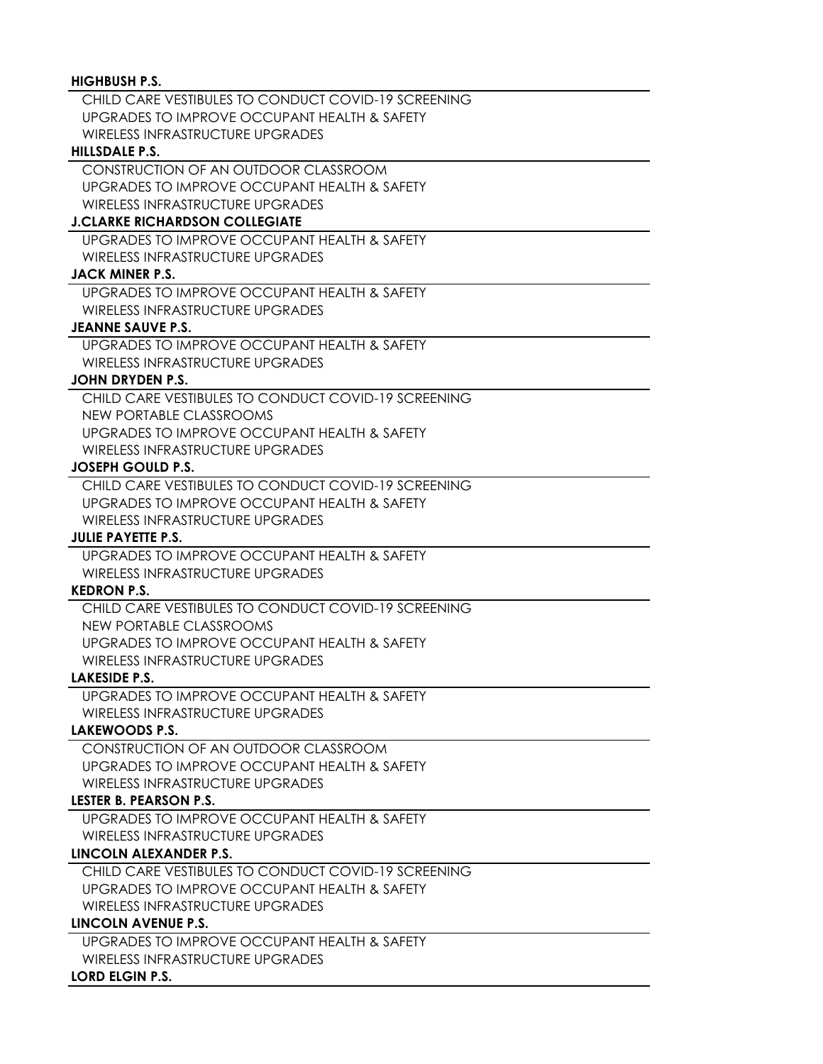## **HIGHBUSH P.S.**

CHILD CARE VESTIBULES TO CONDUCT COVID-19 SCREENING UPGRADES TO IMPROVE OCCUPANT HEALTH & SAFETY WIRELESS INFRASTRUCTURE UPGRADES

#### **HILLSDALE P.S.**

CONSTRUCTION OF AN OUTDOOR CLASSROOM UPGRADES TO IMPROVE OCCUPANT HEALTH & SAFETY WIRELESS INFRASTRUCTURE UPGRADES

#### **J.CLARKE RICHARDSON COLLEGIATE**

UPGRADES TO IMPROVE OCCUPANT HEALTH & SAFETY WIRELESS INFRASTRUCTURE UPGRADES

# **JACK MINER P.S.**

UPGRADES TO IMPROVE OCCUPANT HEALTH & SAFETY WIRELESS INFRASTRUCTURE UPGRADES

### **JEANNE SAUVE P.S.**

UPGRADES TO IMPROVE OCCUPANT HEALTH & SAFETY WIRELESS INFRASTRUCTURE UPGRADES

### **JOHN DRYDEN P.S.**

CHILD CARE VESTIBULES TO CONDUCT COVID-19 SCREENING NEW PORTABLE CLASSROOMS UPGRADES TO IMPROVE OCCUPANT HEALTH & SAFETY WIRELESS INFRASTRUCTURE UPGRADES

#### **JOSEPH GOULD P.S.**

CHILD CARE VESTIBULES TO CONDUCT COVID-19 SCREENING UPGRADES TO IMPROVE OCCUPANT HEALTH & SAFETY WIRELESS INFRASTRUCTURE UPGRADES

## **JULIE PAYETTE P.S.**

UPGRADES TO IMPROVE OCCUPANT HEALTH & SAFETY WIRELESS INFRASTRUCTURE UPGRADES

### **KEDRON P.S.**

CHILD CARE VESTIBULES TO CONDUCT COVID-19 SCREENING NEW PORTABLE CLASSROOMS UPGRADES TO IMPROVE OCCUPANT HEALTH & SAFETY WIRELESS INFRASTRUCTURE UPGRADES

## **LAKESIDE P.S.**

UPGRADES TO IMPROVE OCCUPANT HEALTH & SAFETY WIRELESS INFRASTRUCTURE UPGRADES

### **LAKEWOODS P.S.**

CONSTRUCTION OF AN OUTDOOR CLASSROOM UPGRADES TO IMPROVE OCCUPANT HEALTH & SAFETY WIRELESS INFRASTRUCTURE UPGRADES

# **LESTER B. PEARSON P.S.**

UPGRADES TO IMPROVE OCCUPANT HEALTH & SAFETY WIRELESS INFRASTRUCTURE UPGRADES

### **LINCOLN ALEXANDER P.S.**

CHILD CARE VESTIBULES TO CONDUCT COVID-19 SCREENING UPGRADES TO IMPROVE OCCUPANT HEALTH & SAFETY WIRELESS INFRASTRUCTURE UPGRADES

# **LINCOLN AVENUE P.S.**

UPGRADES TO IMPROVE OCCUPANT HEALTH & SAFETY WIRELESS INFRASTRUCTURE UPGRADES

### **LORD ELGIN P.S.**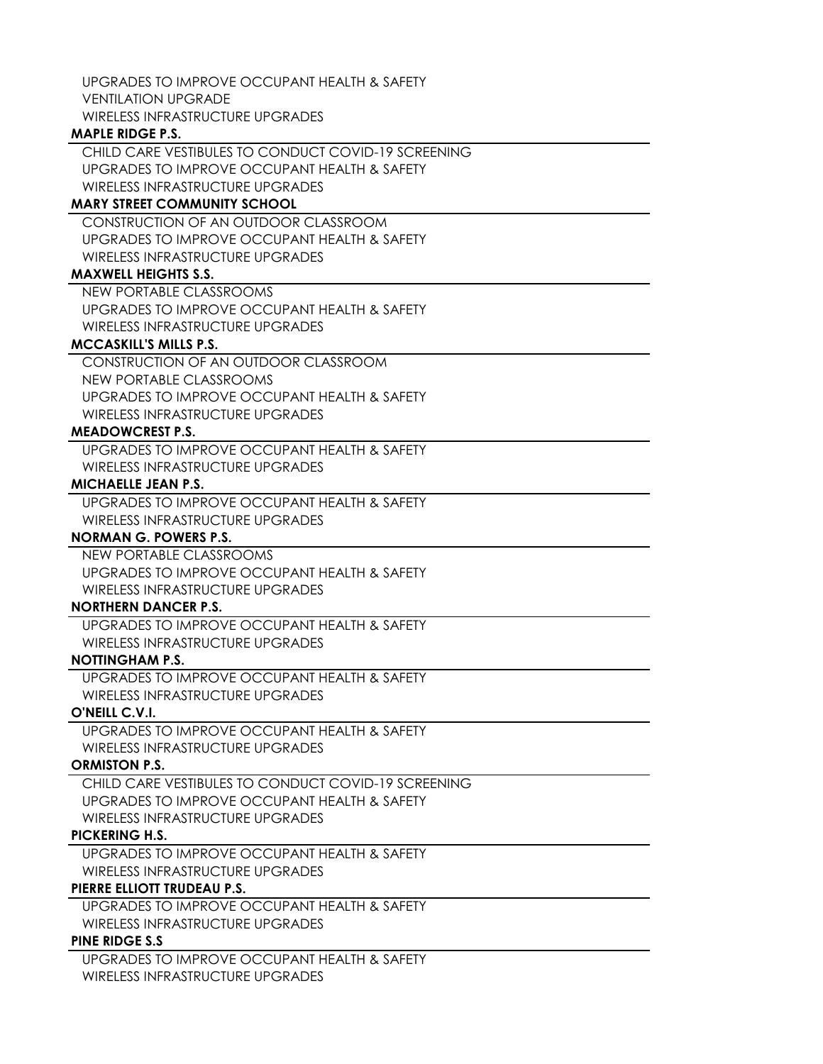UPGRADES TO IMPROVE OCCUPANT HEALTH & SAFETY VENTILATION UPGRADE WIRELESS INFRASTRUCTURE UPGRADES

### **MAPLE RIDGE P.S.**

CHILD CARE VESTIBULES TO CONDUCT COVID-19 SCREENING UPGRADES TO IMPROVE OCCUPANT HEALTH & SAFETY WIRELESS INFRASTRUCTURE UPGRADES

# **MARY STREET COMMUNITY SCHOOL**

CONSTRUCTION OF AN OUTDOOR CLASSROOM UPGRADES TO IMPROVE OCCUPANT HEALTH & SAFETY WIRELESS INFRASTRUCTURE UPGRADES

# **MAXWELL HEIGHTS S.S.**

NEW PORTABLE CLASSROOMS UPGRADES TO IMPROVE OCCUPANT HEALTH & SAFETY WIRELESS INFRASTRUCTURE UPGRADES

## **MCCASKILL'S MILLS P.S.**

CONSTRUCTION OF AN OUTDOOR CLASSROOM NEW PORTABLE CLASSROOMS UPGRADES TO IMPROVE OCCUPANT HEALTH & SAFETY WIRELESS INFRASTRUCTURE UPGRADES

## **MEADOWCREST P.S.**

UPGRADES TO IMPROVE OCCUPANT HEALTH & SAFETY WIRELESS INFRASTRUCTURE UPGRADES

### **MICHAELLE JEAN P.S.**

UPGRADES TO IMPROVE OCCUPANT HEALTH & SAFETY WIRELESS INFRASTRUCTURE UPGRADES

# **NORMAN G. POWERS P.S.**

NEW PORTABLE CLASSROOMS UPGRADES TO IMPROVE OCCUPANT HEALTH & SAFETY WIRELESS INFRASTRUCTURE UPGRADES

## **NORTHERN DANCER P.S.**

UPGRADES TO IMPROVE OCCUPANT HEALTH & SAFETY WIRELESS INFRASTRUCTURE UPGRADES

# **NOTTINGHAM P.S.**

UPGRADES TO IMPROVE OCCUPANT HEALTH & SAFETY WIRELESS INFRASTRUCTURE UPGRADES

# **O'NEILL C.V.I.**

UPGRADES TO IMPROVE OCCUPANT HEALTH & SAFETY WIRELESS INFRASTRUCTURE UPGRADES

# **ORMISTON P.S.**

CHILD CARE VESTIBULES TO CONDUCT COVID-19 SCREENING UPGRADES TO IMPROVE OCCUPANT HEALTH & SAFETY WIRELESS INFRASTRUCTURE UPGRADES

# **PICKERING H.S.**

UPGRADES TO IMPROVE OCCUPANT HEALTH & SAFETY WIRELESS INFRASTRUCTURE UPGRADES

# **PIERRE ELLIOTT TRUDEAU P.S.**

UPGRADES TO IMPROVE OCCUPANT HEALTH & SAFETY WIRELESS INFRASTRUCTURE UPGRADES

## **PINE RIDGE S.S**

UPGRADES TO IMPROVE OCCUPANT HEALTH & SAFETY WIRELESS INFRASTRUCTURE UPGRADES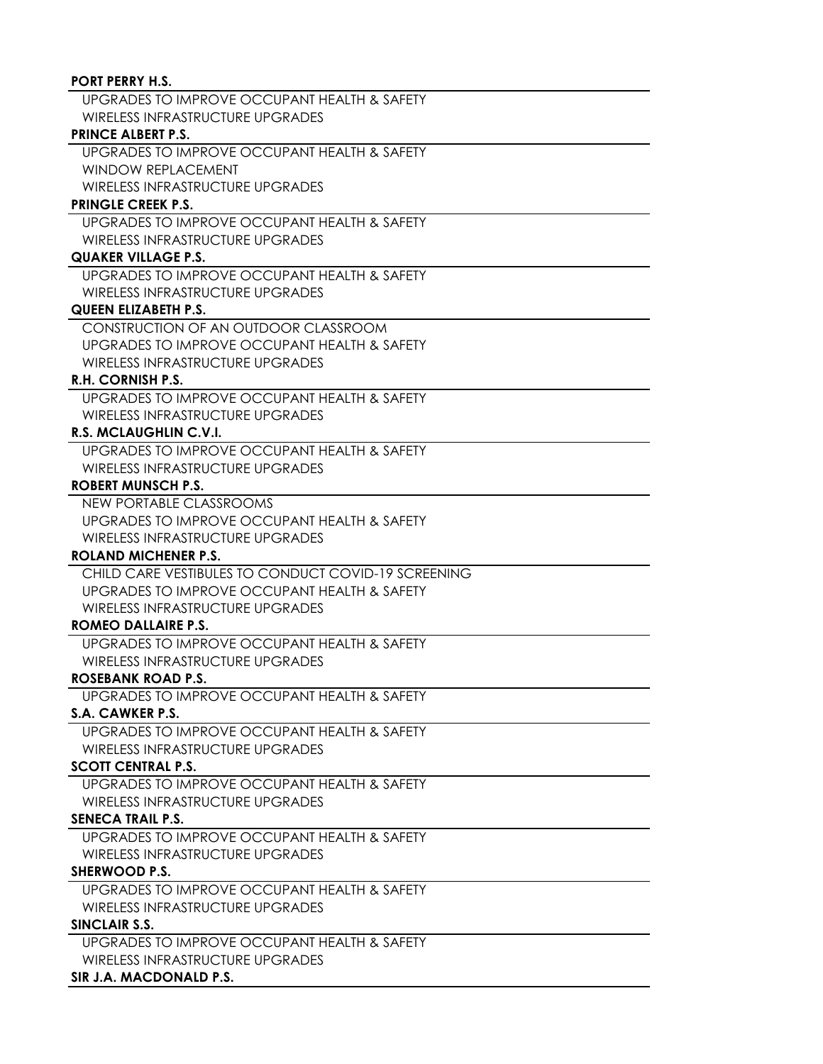### **PORT PERRY H.S.**

UPGRADES TO IMPROVE OCCUPANT HEALTH & SAFETY WIRELESS INFRASTRUCTURE UPGRADES

### **PRINCE ALBERT P.S.**

UPGRADES TO IMPROVE OCCUPANT HEALTH & SAFETY WINDOW REPLACEMENT WIRELESS INFRASTRUCTURE UPGRADES

## **PRINGLE CREEK P.S.**

UPGRADES TO IMPROVE OCCUPANT HEALTH & SAFETY WIRELESS INFRASTRUCTURE UPGRADES

# **QUAKER VILLAGE P.S.**

UPGRADES TO IMPROVE OCCUPANT HEALTH & SAFETY WIRELESS INFRASTRUCTURE UPGRADES

## **QUEEN ELIZABETH P.S.**

CONSTRUCTION OF AN OUTDOOR CLASSROOM UPGRADES TO IMPROVE OCCUPANT HEALTH & SAFETY WIRELESS INFRASTRUCTURE UPGRADES

# **R.H. CORNISH P.S.**

UPGRADES TO IMPROVE OCCUPANT HEALTH & SAFETY WIRELESS INFRASTRUCTURE UPGRADES

# **R.S. MCLAUGHLIN C.V.I.**

UPGRADES TO IMPROVE OCCUPANT HEALTH & SAFETY WIRELESS INFRASTRUCTURE UPGRADES

## **ROBERT MUNSCH P.S.**

NEW PORTABLE CLASSROOMS UPGRADES TO IMPROVE OCCUPANT HEALTH & SAFETY WIRELESS INFRASTRUCTURE UPGRADES

# **ROLAND MICHENER P.S.**

CHILD CARE VESTIBULES TO CONDUCT COVID-19 SCREENING UPGRADES TO IMPROVE OCCUPANT HEALTH & SAFETY WIRELESS INFRASTRUCTURE UPGRADES

### **ROMEO DALLAIRE P.S.**

UPGRADES TO IMPROVE OCCUPANT HEALTH & SAFETY WIRELESS INFRASTRUCTURE UPGRADES

# **ROSEBANK ROAD P.S.**

UPGRADES TO IMPROVE OCCUPANT HEALTH & SAFETY

# **S.A. CAWKER P.S.**

UPGRADES TO IMPROVE OCCUPANT HEALTH & SAFETY WIRELESS INFRASTRUCTURE UPGRADES

# **SCOTT CENTRAL P.S.**

UPGRADES TO IMPROVE OCCUPANT HEALTH & SAFETY WIRELESS INFRASTRUCTURE UPGRADES

# **SENECA TRAIL P.S.**

UPGRADES TO IMPROVE OCCUPANT HEALTH & SAFETY WIRELESS INFRASTRUCTURE UPGRADES

# **SHERWOOD P.S.**

UPGRADES TO IMPROVE OCCUPANT HEALTH & SAFETY WIRELESS INFRASTRUCTURE UPGRADES

### **SINCLAIR S.S.**

UPGRADES TO IMPROVE OCCUPANT HEALTH & SAFETY WIRELESS INFRASTRUCTURE UPGRADES

# **SIR J.A. MACDONALD P.S.**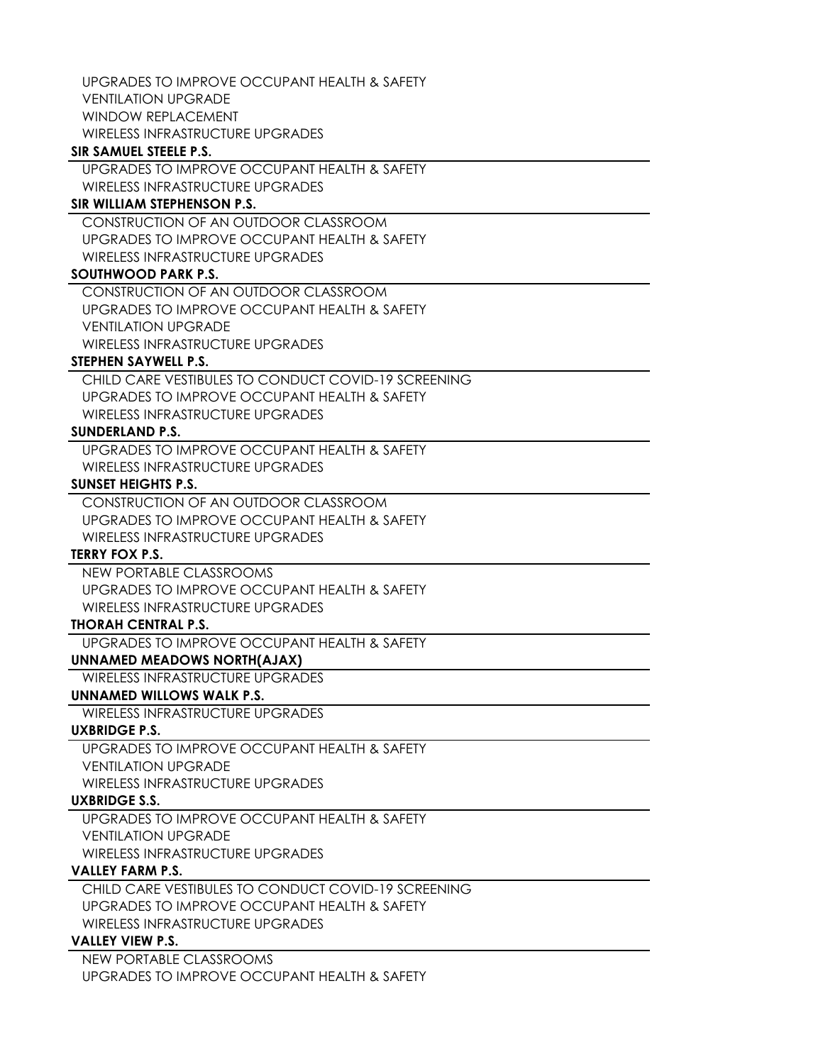UPGRADES TO IMPROVE OCCUPANT HEALTH & SAFETY VENTILATION UPGRADE WINDOW REPLACEMENT WIRELESS INFRASTRUCTURE UPGRADES

#### **SIR SAMUEL STEELE P.S.**

UPGRADES TO IMPROVE OCCUPANT HEALTH & SAFETY WIRELESS INFRASTRUCTURE UPGRADES

# **SIR WILLIAM STEPHENSON P.S.**

CONSTRUCTION OF AN OUTDOOR CLASSROOM UPGRADES TO IMPROVE OCCUPANT HEALTH & SAFETY WIRELESS INFRASTRUCTURE UPGRADES

# **SOUTHWOOD PARK P.S.**

CONSTRUCTION OF AN OUTDOOR CLASSROOM UPGRADES TO IMPROVE OCCUPANT HEALTH & SAFETY VENTILATION UPGRADE WIRELESS INFRASTRUCTURE UPGRADES

# **STEPHEN SAYWELL P.S.**

CHILD CARE VESTIBULES TO CONDUCT COVID-19 SCREENING UPGRADES TO IMPROVE OCCUPANT HEALTH & SAFETY WIRELESS INFRASTRUCTURE UPGRADES

#### **SUNDERLAND P.S.**

UPGRADES TO IMPROVE OCCUPANT HEALTH & SAFETY WIRELESS INFRASTRUCTURE UPGRADES

#### **SUNSET HEIGHTS P.S.**

CONSTRUCTION OF AN OUTDOOR CLASSROOM UPGRADES TO IMPROVE OCCUPANT HEALTH & SAFETY WIRELESS INFRASTRUCTURE UPGRADES

### **TERRY FOX P.S.**

NEW PORTABLE CLASSROOMS UPGRADES TO IMPROVE OCCUPANT HEALTH & SAFETY WIRELESS INFRASTRUCTURE UPGRADES

#### **THORAH CENTRAL P.S.**

UPGRADES TO IMPROVE OCCUPANT HEALTH & SAFETY

# **UNNAMED MEADOWS NORTH(AJAX)**

WIRELESS INFRASTRUCTURE UPGRADES

# **UNNAMED WILLOWS WALK P.S.**

WIRELESS INFRASTRUCTURE UPGRADES

### **UXBRIDGE P.S.**

UPGRADES TO IMPROVE OCCUPANT HEALTH & SAFETY

VENTILATION UPGRADE

WIRELESS INFRASTRUCTURE UPGRADES

# **UXBRIDGE S.S.**

UPGRADES TO IMPROVE OCCUPANT HEALTH & SAFETY VENTILATION UPGRADE WIRELESS INFRASTRUCTURE UPGRADES

### **VALLEY FARM P.S.**

CHILD CARE VESTIBULES TO CONDUCT COVID-19 SCREENING UPGRADES TO IMPROVE OCCUPANT HEALTH & SAFETY WIRELESS INFRASTRUCTURE UPGRADES

# **VALLEY VIEW P.S.**

NEW PORTABLE CLASSROOMS UPGRADES TO IMPROVE OCCUPANT HEALTH & SAFETY